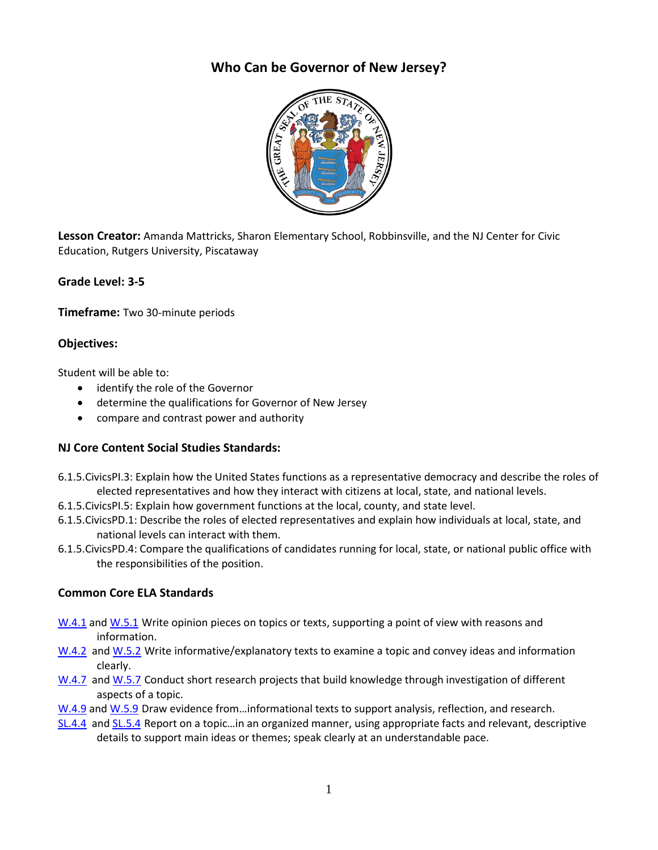# **Who Can be Governor of New Jersey?**



**Lesson Creator:** Amanda Mattricks, Sharon Elementary School, Robbinsville, and the NJ Center for Civic Education, Rutgers University, Piscataway

# **Grade Level: 3-5**

**Timeframe:** Two 30-minute periods

# **Objectives:**

Student will be able to:

- identify the role of the Governor
- determine the qualifications for Governor of New Jersey
- compare and contrast power and authority

# **NJ Core Content Social Studies Standards:**

- 6.1.5.CivicsPI.3: Explain how the United States functions as a representative democracy and describe the roles of elected representatives and how they interact with citizens at local, state, and national levels.
- 6.1.5.CivicsPI.5: Explain how government functions at the local, county, and state level.
- 6.1.5.CivicsPD.1: Describe the roles of elected representatives and explain how individuals at local, state, and national levels can interact with them.
- 6.1.5.CivicsPD.4: Compare the qualifications of candidates running for local, state, or national public office with the responsibilities of the position.

# **Common Core ELA Standards**

- [W.4.1](http://www.corestandards.org/ELA-Literacy/W/4/1/) and [W.5.1](http://www.corestandards.org/ELA-Literacy/W/5/1/) Write opinion pieces on topics or texts, supporting a point of view with reasons and information.
- [W.4.2](http://www.corestandards.org/ELA-Literacy/W/4/2/) and [W.5.2](http://www.corestandards.org/ELA-Literacy/W/5/2/) Write informative/explanatory texts to examine a topic and convey ideas and information clearly.
- [W.4.7](http://www.corestandards.org/ELA-Literacy/W/4/7/) and [W.5.7](http://www.corestandards.org/ELA-Literacy/RI/5/7/) Conduct short research projects that build knowledge through investigation of different aspects of a topic.
- [W.4.9](http://www.corestandards.org/ELA-Literacy/W/4/9/) and [W.5.9](http://www.corestandards.org/ELA-Literacy/W/5/9/) Draw evidence from...informational texts to support analysis, reflection, and research.
- [SL.4.4](http://www.corestandards.org/ELA-Literacy/SL/4/4/) [and SL.5.4](http://www.corestandards.org/ELA-Literacy/SL/5/4/) Report on a topic…in an organized manner, using appropriate facts and relevant, descriptive details to support main ideas or themes; speak clearly at an understandable pace.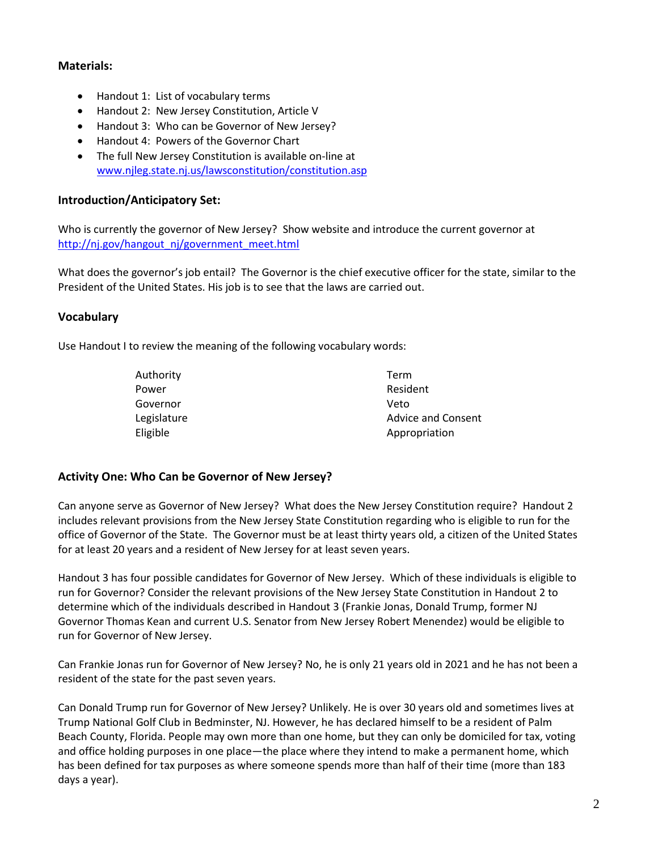# **Materials:**

- Handout 1: List of vocabulary terms
- Handout 2: New Jersey Constitution, Article V
- Handout 3: Who can be Governor of New Jersey?
- Handout 4: Powers of the Governor Chart
- The full New Jersey Constitution is available on-line at [www.njleg.state.nj.us/lawsconstitution/constitution.asp](http://www.njleg.state.nj.us/lawsconstitution/constitution.asp)

# **Introduction/Anticipatory Set:**

Who is currently the governor of New Jersey? Show website and introduce the current governor at [http://nj.gov/hangout\\_nj/government\\_meet.html](http://nj.gov/hangout_nj/government_meet.html)

What does the governor's job entail? The Governor is the chief executive officer for the state, similar to the President of the United States. His job is to see that the laws are carried out.

### **Vocabulary**

Use Handout I to review the meaning of the following vocabulary words:

| Authority   | Term                      |
|-------------|---------------------------|
| Power       | Resident                  |
| Governor    | Veto                      |
| Legislature | <b>Advice and Consent</b> |
| Eligible    | Appropriation             |

### **Activity One: Who Can be Governor of New Jersey?**

Can anyone serve as Governor of New Jersey? What does the New Jersey Constitution require? Handout 2 includes relevant provisions from the New Jersey State Constitution regarding who is eligible to run for the office of Governor of the State. The Governor must be at least thirty years old, a citizen of the United States for at least 20 years and a resident of New Jersey for at least seven years.

Handout 3 has four possible candidates for Governor of New Jersey. Which of these individuals is eligible to run for Governor? Consider the relevant provisions of the New Jersey State Constitution in Handout 2 to determine which of the individuals described in Handout 3 (Frankie Jonas, Donald Trump, former NJ Governor Thomas Kean and current U.S. Senator from New Jersey Robert Menendez) would be eligible to run for Governor of New Jersey.

Can Frankie Jonas run for Governor of New Jersey? No, he is only 21 years old in 2021 and he has not been a resident of the state for the past seven years.

Can Donald Trump run for Governor of New Jersey? Unlikely. He is over 30 years old and sometimes lives at Trump National Golf Club in Bedminster, NJ. However, he has declared himself to be a resident of Palm Beach County, Florida. People may own more than one home, but they can only be domiciled for tax, voting and office holding purposes in one place—the place where they intend to make a permanent home, which has been defined for tax purposes as where someone spends more than half of their time (more than 183 days a year).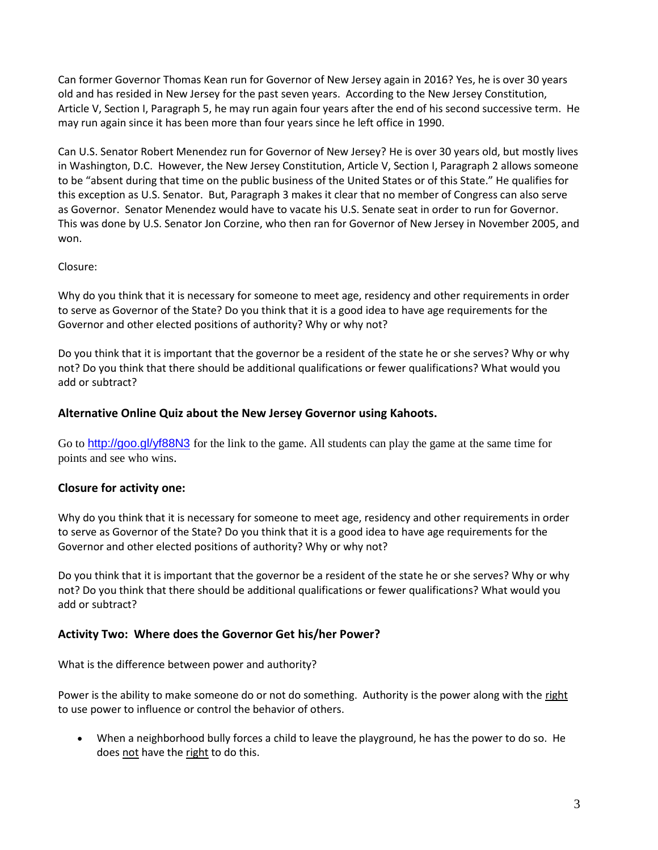Can former Governor Thomas Kean run for Governor of New Jersey again in 2016? Yes, he is over 30 years old and has resided in New Jersey for the past seven years. According to the New Jersey Constitution, Article V, Section I, Paragraph 5, he may run again four years after the end of his second successive term. He may run again since it has been more than four years since he left office in 1990.

Can U.S. Senator Robert Menendez run for Governor of New Jersey? He is over 30 years old, but mostly lives in Washington, D.C. However, the New Jersey Constitution, Article V, Section I, Paragraph 2 allows someone to be "absent during that time on the public business of the United States or of this State." He qualifies for this exception as U.S. Senator. But, Paragraph 3 makes it clear that no member of Congress can also serve as Governor. Senator Menendez would have to vacate his U.S. Senate seat in order to run for Governor. This was done by U.S. Senator Jon Corzine, who then ran for Governor of New Jersey in November 2005, and won.

### Closure:

Why do you think that it is necessary for someone to meet age, residency and other requirements in order to serve as Governor of the State? Do you think that it is a good idea to have age requirements for the Governor and other elected positions of authority? Why or why not?

Do you think that it is important that the governor be a resident of the state he or she serves? Why or why not? Do you think that there should be additional qualifications or fewer qualifications? What would you add or subtract?

# **Alternative Online Quiz about the New Jersey Governor using Kahoots.**

Go to <http://goo.gl/yf88N3> for the link to the game. All students can play the game at the same time for points and see who wins.

# **Closure for activity one:**

Why do you think that it is necessary for someone to meet age, residency and other requirements in order to serve as Governor of the State? Do you think that it is a good idea to have age requirements for the Governor and other elected positions of authority? Why or why not?

Do you think that it is important that the governor be a resident of the state he or she serves? Why or why not? Do you think that there should be additional qualifications or fewer qualifications? What would you add or subtract?

### **Activity Two: Where does the Governor Get his/her Power?**

What is the difference between power and authority?

Power is the ability to make someone do or not do something. Authority is the power along with the right to use power to influence or control the behavior of others.

 When a neighborhood bully forces a child to leave the playground, he has the power to do so. He does not have the right to do this.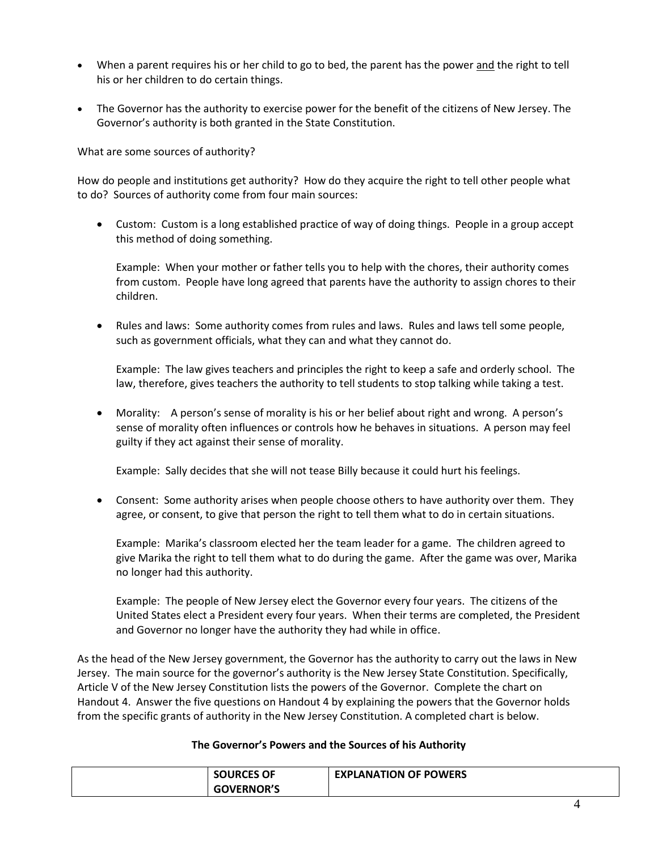- When a parent requires his or her child to go to bed, the parent has the power and the right to tell his or her children to do certain things.
- The Governor has the authority to exercise power for the benefit of the citizens of New Jersey. The Governor's authority is both granted in the State Constitution.

What are some sources of authority?

How do people and institutions get authority? How do they acquire the right to tell other people what to do? Sources of authority come from four main sources:

 Custom: Custom is a long established practice of way of doing things. People in a group accept this method of doing something.

Example: When your mother or father tells you to help with the chores, their authority comes from custom. People have long agreed that parents have the authority to assign chores to their children.

 Rules and laws: Some authority comes from rules and laws. Rules and laws tell some people, such as government officials, what they can and what they cannot do.

Example: The law gives teachers and principles the right to keep a safe and orderly school. The law, therefore, gives teachers the authority to tell students to stop talking while taking a test.

 Morality: A person's sense of morality is his or her belief about right and wrong. A person's sense of morality often influences or controls how he behaves in situations. A person may feel guilty if they act against their sense of morality.

Example: Sally decides that she will not tease Billy because it could hurt his feelings.

 Consent: Some authority arises when people choose others to have authority over them. They agree, or consent, to give that person the right to tell them what to do in certain situations.

Example: Marika's classroom elected her the team leader for a game. The children agreed to give Marika the right to tell them what to do during the game. After the game was over, Marika no longer had this authority.

Example: The people of New Jersey elect the Governor every four years. The citizens of the United States elect a President every four years. When their terms are completed, the President and Governor no longer have the authority they had while in office.

As the head of the New Jersey government, the Governor has the authority to carry out the laws in New Jersey. The main source for the governor's authority is the New Jersey State Constitution. Specifically, Article V of the New Jersey Constitution lists the powers of the Governor. Complete the chart on Handout 4. Answer the five questions on Handout 4 by explaining the powers that the Governor holds from the specific grants of authority in the New Jersey Constitution. A completed chart is below.

#### **The Governor's Powers and the Sources of his Authority**

| <b>SOURCES OF</b> | <b>EXPLANATION OF POWERS</b> |
|-------------------|------------------------------|
| <b>GOVERNOR'S</b> |                              |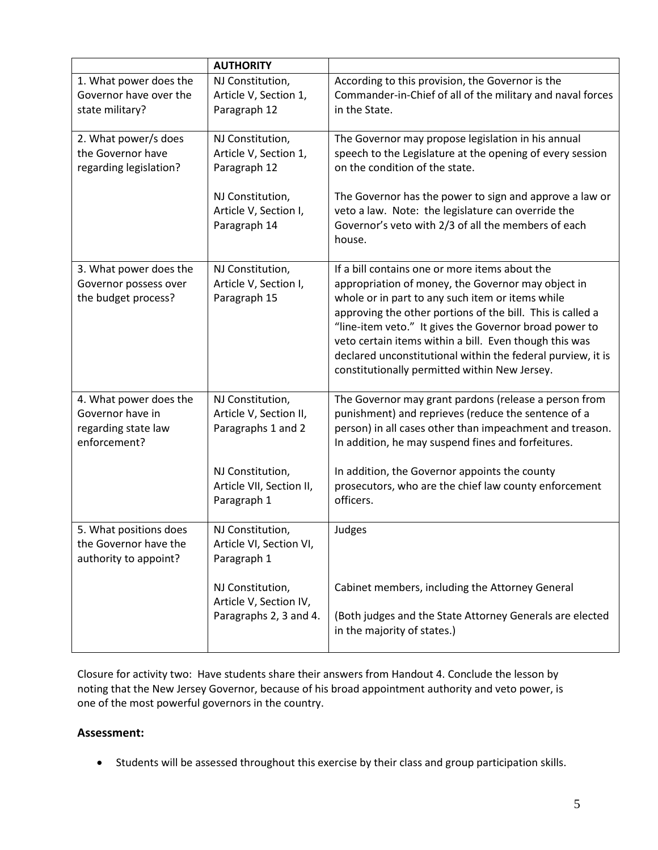|                                                                                   | <b>AUTHORITY</b>                                                     |                                                                                                                                                                                                                                                                                                                                                                                                                                                            |
|-----------------------------------------------------------------------------------|----------------------------------------------------------------------|------------------------------------------------------------------------------------------------------------------------------------------------------------------------------------------------------------------------------------------------------------------------------------------------------------------------------------------------------------------------------------------------------------------------------------------------------------|
| 1. What power does the<br>Governor have over the<br>state military?               | NJ Constitution,<br>Article V, Section 1,<br>Paragraph 12            | According to this provision, the Governor is the<br>Commander-in-Chief of all of the military and naval forces<br>in the State.                                                                                                                                                                                                                                                                                                                            |
| 2. What power/s does<br>the Governor have<br>regarding legislation?               | NJ Constitution,<br>Article V, Section 1,<br>Paragraph 12            | The Governor may propose legislation in his annual<br>speech to the Legislature at the opening of every session<br>on the condition of the state.                                                                                                                                                                                                                                                                                                          |
|                                                                                   | NJ Constitution,<br>Article V, Section I,<br>Paragraph 14            | The Governor has the power to sign and approve a law or<br>veto a law. Note: the legislature can override the<br>Governor's veto with 2/3 of all the members of each<br>house.                                                                                                                                                                                                                                                                             |
| 3. What power does the<br>Governor possess over<br>the budget process?            | NJ Constitution,<br>Article V, Section I,<br>Paragraph 15            | If a bill contains one or more items about the<br>appropriation of money, the Governor may object in<br>whole or in part to any such item or items while<br>approving the other portions of the bill. This is called a<br>"line-item veto." It gives the Governor broad power to<br>veto certain items within a bill. Even though this was<br>declared unconstitutional within the federal purview, it is<br>constitutionally permitted within New Jersey. |
| 4. What power does the<br>Governor have in<br>regarding state law<br>enforcement? | NJ Constitution,<br>Article V, Section II,<br>Paragraphs 1 and 2     | The Governor may grant pardons (release a person from<br>punishment) and reprieves (reduce the sentence of a<br>person) in all cases other than impeachment and treason.<br>In addition, he may suspend fines and forfeitures.                                                                                                                                                                                                                             |
|                                                                                   | NJ Constitution,<br>Article VII, Section II,<br>Paragraph 1          | In addition, the Governor appoints the county<br>prosecutors, who are the chief law county enforcement<br>officers.                                                                                                                                                                                                                                                                                                                                        |
| 5. What positions does<br>the Governor have the<br>authority to appoint?          | NJ Constitution,<br>Article VI, Section VI,<br>Paragraph 1           | Judges                                                                                                                                                                                                                                                                                                                                                                                                                                                     |
|                                                                                   | NJ Constitution,<br>Article V, Section IV,<br>Paragraphs 2, 3 and 4. | Cabinet members, including the Attorney General<br>(Both judges and the State Attorney Generals are elected<br>in the majority of states.)                                                                                                                                                                                                                                                                                                                 |

Closure for activity two:Have students share their answers from Handout 4. Conclude the lesson by noting that the New Jersey Governor, because of his broad appointment authority and veto power, is one of the most powerful governors in the country.

# **Assessment:**

Students will be assessed throughout this exercise by their class and group participation skills.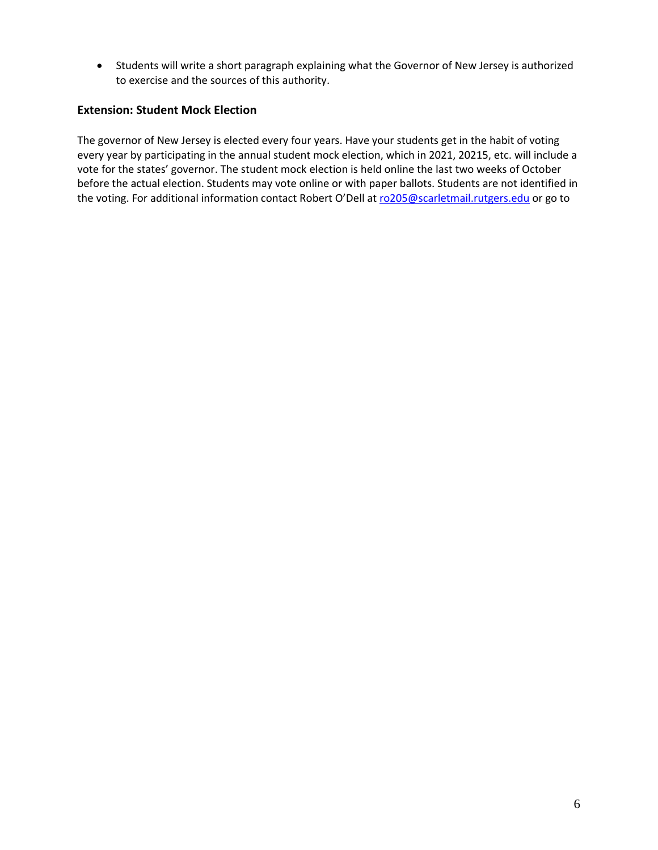Students will write a short paragraph explaining what the Governor of New Jersey is authorized to exercise and the sources of this authority.

### **Extension: Student Mock Election**

The governor of New Jersey is elected every four years. Have your students get in the habit of voting every year by participating in the annual student mock election, which in 2021, 20215, etc. will include a vote for the states' governor. The student mock election is held online the last two weeks of October before the actual election. Students may vote online or with paper ballots. Students are not identified in the voting. For additional information contact Robert O'Dell at [ro205@scarletmail.rutgers.edu](mailto:ro205@scarletmail.rutgers.edu) or go to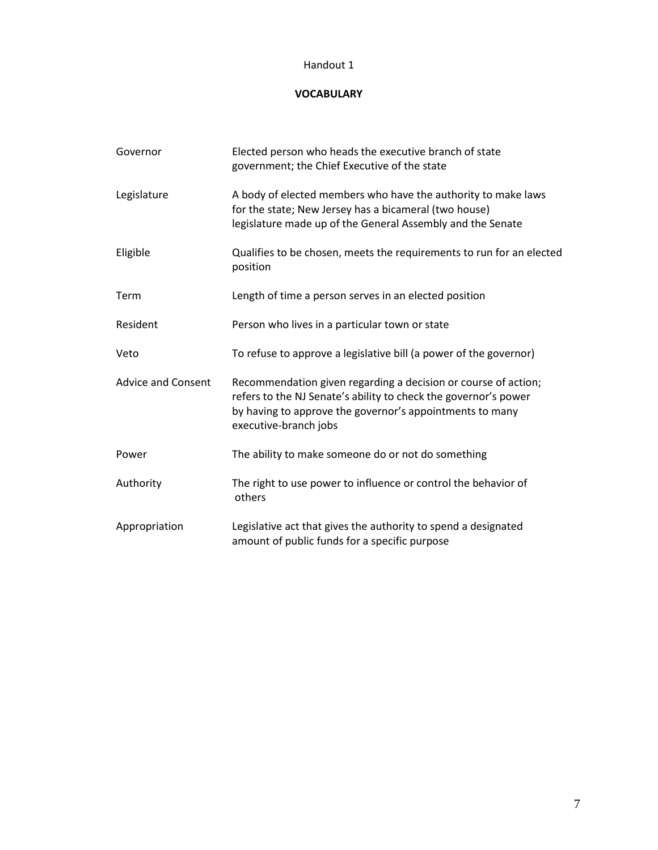# **VOCABULARY**

| Governor                  | Elected person who heads the executive branch of state<br>government; the Chief Executive of the state                                                                                                                 |
|---------------------------|------------------------------------------------------------------------------------------------------------------------------------------------------------------------------------------------------------------------|
| Legislature               | A body of elected members who have the authority to make laws<br>for the state; New Jersey has a bicameral (two house)<br>legislature made up of the General Assembly and the Senate                                   |
| Eligible                  | Qualifies to be chosen, meets the requirements to run for an elected<br>position                                                                                                                                       |
| Term                      | Length of time a person serves in an elected position                                                                                                                                                                  |
| Resident                  | Person who lives in a particular town or state                                                                                                                                                                         |
| Veto                      | To refuse to approve a legislative bill (a power of the governor)                                                                                                                                                      |
| <b>Advice and Consent</b> | Recommendation given regarding a decision or course of action;<br>refers to the NJ Senate's ability to check the governor's power<br>by having to approve the governor's appointments to many<br>executive-branch jobs |
| Power                     | The ability to make someone do or not do something                                                                                                                                                                     |
| Authority                 | The right to use power to influence or control the behavior of<br>others                                                                                                                                               |
| Appropriation             | Legislative act that gives the authority to spend a designated<br>amount of public funds for a specific purpose                                                                                                        |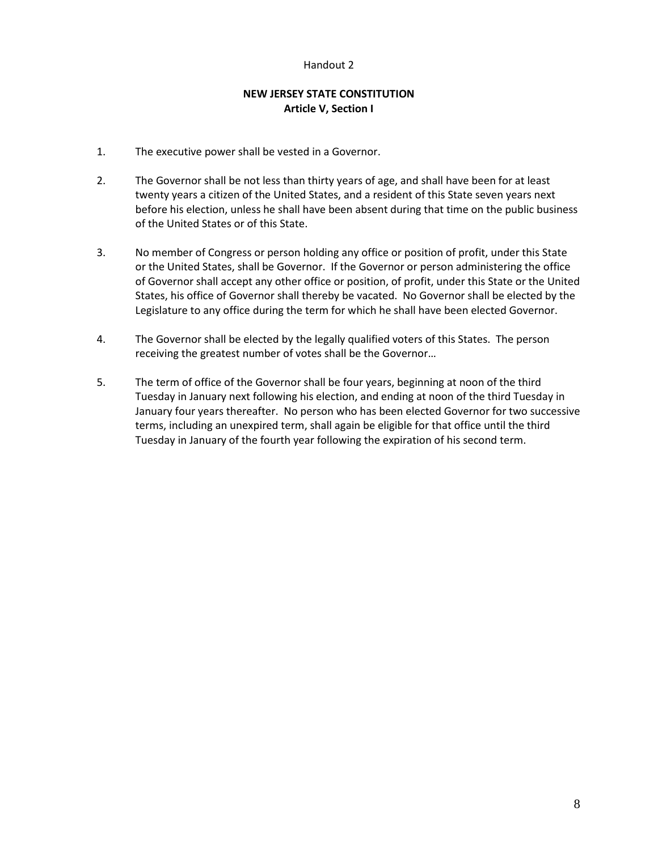# **NEW JERSEY STATE CONSTITUTION Article V, Section I**

- 1. The executive power shall be vested in a Governor.
- 2. The Governor shall be not less than thirty years of age, and shall have been for at least twenty years a citizen of the United States, and a resident of this State seven years next before his election, unless he shall have been absent during that time on the public business of the United States or of this State.
- 3. No member of Congress or person holding any office or position of profit, under this State or the United States, shall be Governor. If the Governor or person administering the office of Governor shall accept any other office or position, of profit, under this State or the United States, his office of Governor shall thereby be vacated. No Governor shall be elected by the Legislature to any office during the term for which he shall have been elected Governor.
- 4. The Governor shall be elected by the legally qualified voters of this States. The person receiving the greatest number of votes shall be the Governor…
- 5. The term of office of the Governor shall be four years, beginning at noon of the third Tuesday in January next following his election, and ending at noon of the third Tuesday in January four years thereafter. No person who has been elected Governor for two successive terms, including an unexpired term, shall again be eligible for that office until the third Tuesday in January of the fourth year following the expiration of his second term.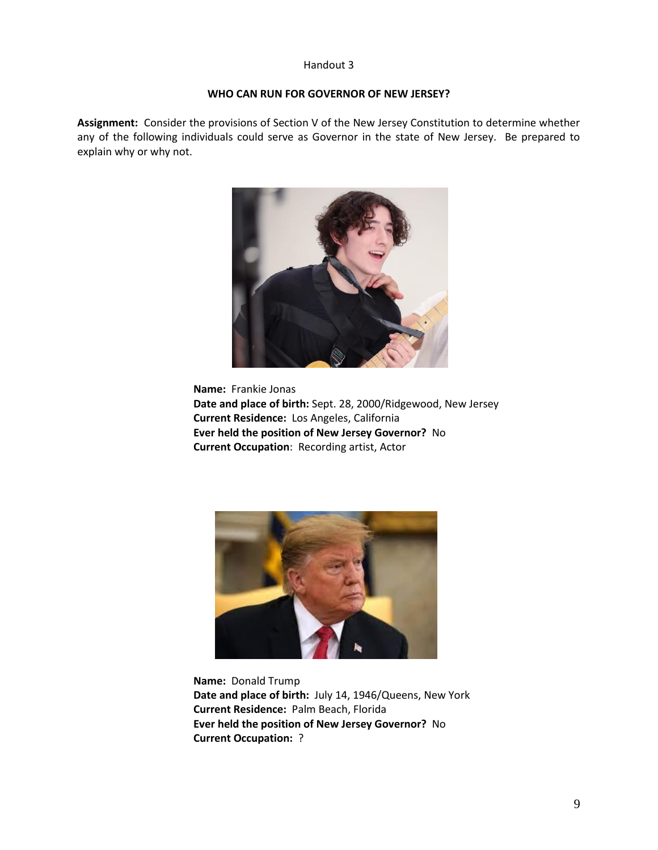### **WHO CAN RUN FOR GOVERNOR OF NEW JERSEY?**

**Assignment:** Consider the provisions of Section V of the New Jersey Constitution to determine whether any of the following individuals could serve as Governor in the state of New Jersey. Be prepared to explain why or why not.



**Name:** Frankie Jonas **Date and place of birth:** Sept. 28, 2000/Ridgewood, New Jersey **Current Residence:** Los Angeles, California **Ever held the position of New Jersey Governor?** No **Current Occupation**: Recording artist, Actor



**Name:** Donald Trump **Date and place of birth:** July 14, 1946/Queens, New York **Current Residence:** Palm Beach, Florida **Ever held the position of New Jersey Governor?** No **Current Occupation:** ?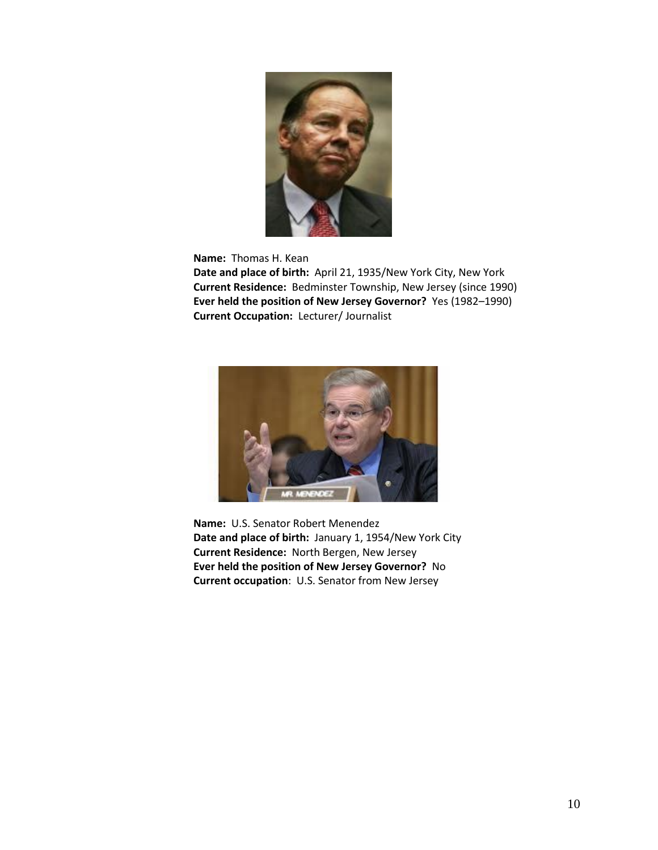

**Name:** Thomas H. Kean

**Date and place of birth:** April 21, 1935/New York City, New York **Current Residence:** Bedminster Township, New Jersey (since 1990) **Ever held the position of New Jersey Governor?** Yes (1982–1990) **Current Occupation:** Lecturer/ Journalist



**Name:** U.S. Senator Robert Menendez **Date and place of birth:** January 1, 1954/New York City **Current Residence:** North Bergen, New Jersey **Ever held the position of New Jersey Governor?** No **Current occupation**: U.S. Senator from New Jersey